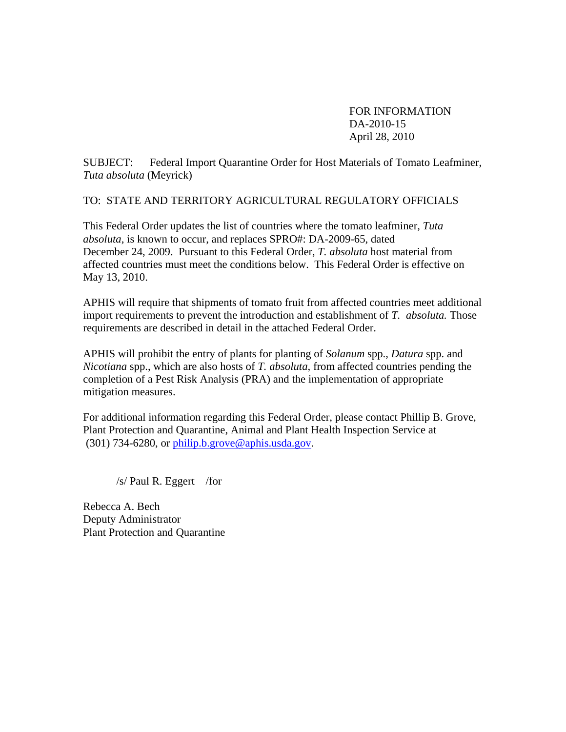FOR INFORMATION DA-2010-15 April 28, 2010

SUBJECT: Federal Import Quarantine Order for Host Materials of Tomato Leafminer, *Tuta absoluta* (Meyrick)

TO: STATE AND TERRITORY AGRICULTURAL REGULATORY OFFICIALS

This Federal Order updates the list of countries where the tomato leafminer, *Tuta absoluta*, is known to occur, and replaces SPRO#: DA-2009-65, dated December 24, 2009. Pursuant to this Federal Order, *T. absoluta* host material from affected countries must meet the conditions below. This Federal Order is effective on May 13, 2010.

APHIS will require that shipments of tomato fruit from affected countries meet additional import requirements to prevent the introduction and establishment of *T. absoluta.* Those requirements are described in detail in the attached Federal Order.

APHIS will prohibit the entry of plants for planting of *Solanum* spp., *Datura* spp. and *Nicotiana* spp., which are also hosts of *T. absoluta*, from affected countries pending the completion of a Pest Risk Analysis (PRA) and the implementation of appropriate mitigation measures.

For additional information regarding this Federal Order, please contact Phillip B. Grove, Plant Protection and Quarantine, Animal and Plant Health Inspection Service at  $(301)$  734-6280, or philip.b.grove@aphis.usda.gov.

/s/ Paul R. Eggert /for

Rebecca A. Bech Deputy Administrator Plant Protection and Quarantine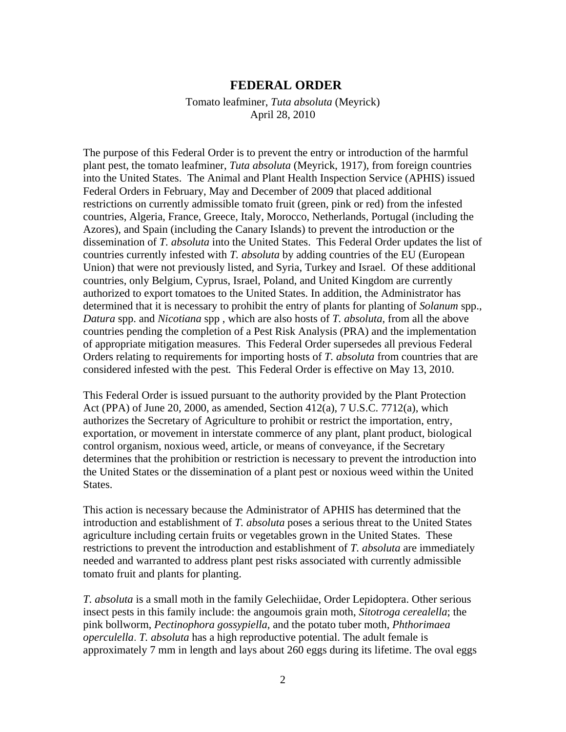## **FEDERAL ORDER**

Tomato leafminer, *Tuta absoluta* (Meyrick) April 28, 2010

The purpose of this Federal Order is to prevent the entry or introduction of the harmful plant pest, the tomato leafminer, *Tuta absoluta* (Meyrick, 1917), from foreign countries into the United States. The Animal and Plant Health Inspection Service (APHIS) issued Federal Orders in February, May and December of 2009 that placed additional restrictions on currently admissible tomato fruit (green, pink or red) from the infested countries, Algeria, France, Greece, Italy, Morocco, Netherlands, Portugal (including the Azores), and Spain (including the Canary Islands) to prevent the introduction or the dissemination of *T. absoluta* into the United States. This Federal Order updates the list of countries currently infested with *T. absoluta* by adding countries of the EU (European Union) that were not previously listed, and Syria, Turkey and Israel. Of these additional countries, only Belgium, Cyprus, Israel, Poland, and United Kingdom are currently authorized to export tomatoes to the United States. In addition, the Administrator has determined that it is necessary to prohibit the entry of plants for planting of *Solanum* spp., *Datura* spp. and *Nicotiana* spp , which are also hosts of *T. absoluta*, from all the above countries pending the completion of a Pest Risk Analysis (PRA) and the implementation of appropriate mitigation measures. This Federal Order supersedes all previous Federal Orders relating to requirements for importing hosts of *T. absoluta* from countries that are considered infested with the pest*.* This Federal Order is effective on May 13, 2010.

This Federal Order is issued pursuant to the authority provided by the Plant Protection Act (PPA) of June 20, 2000, as amended, Section 412(a), 7 U.S.C. 7712(a), which authorizes the Secretary of Agriculture to prohibit or restrict the importation, entry, exportation, or movement in interstate commerce of any plant, plant product, biological control organism, noxious weed, article, or means of conveyance, if the Secretary determines that the prohibition or restriction is necessary to prevent the introduction into the United States or the dissemination of a plant pest or noxious weed within the United States.

This action is necessary because the Administrator of APHIS has determined that the introduction and establishment of *T. absoluta* poses a serious threat to the United States agriculture including certain fruits or vegetables grown in the United States. These restrictions to prevent the introduction and establishment of *T. absoluta* are immediately needed and warranted to address plant pest risks associated with currently admissible tomato fruit and plants for planting.

*T. absoluta* is a small moth in the family Gelechiidae, Order Lepidoptera. Other serious insect pests in this family include: the angoumois grain moth, *Sitotroga cerealella*; the pink bollworm, *Pectinophora gossypiella*, and the potato tuber moth, *Phthorimaea operculella*. *T. absoluta* has a high reproductive potential. The adult female is approximately 7 mm in length and lays about 260 eggs during its lifetime. The oval eggs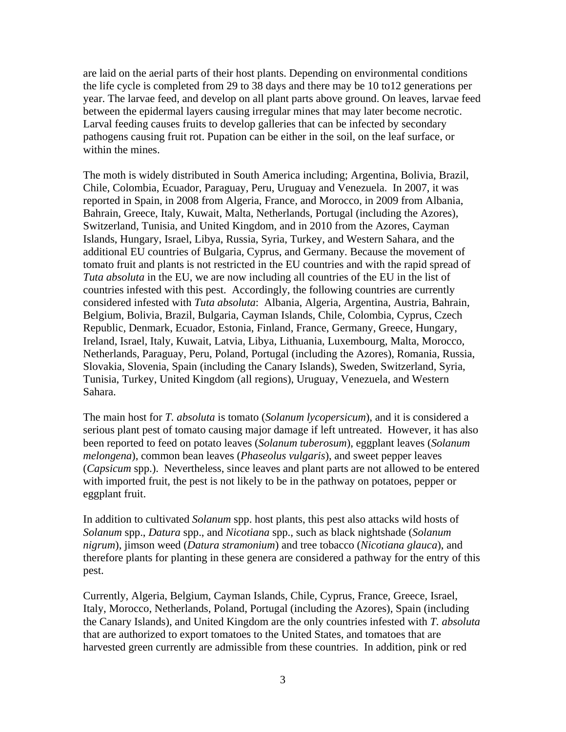are laid on the aerial parts of their host plants. Depending on environmental conditions the life cycle is completed from 29 to 38 days and there may be 10 to12 generations per year. The larvae feed, and develop on all plant parts above ground. On leaves, larvae feed between the epidermal layers causing irregular mines that may later become necrotic. Larval feeding causes fruits to develop galleries that can be infected by secondary pathogens causing fruit rot. Pupation can be either in the soil, on the leaf surface, or within the mines.

The moth is widely distributed in South America including; Argentina, Bolivia, Brazil, Chile, Colombia, Ecuador, Paraguay, Peru, Uruguay and Venezuela. In 2007, it was reported in Spain, in 2008 from Algeria, France, and Morocco, in 2009 from Albania, Bahrain, Greece, Italy, Kuwait, Malta, Netherlands, Portugal (including the Azores), Switzerland, Tunisia, and United Kingdom, and in 2010 from the Azores, Cayman Islands, Hungary, Israel, Libya, Russia, Syria, Turkey, and Western Sahara, and the additional EU countries of Bulgaria, Cyprus, and Germany. Because the movement of tomato fruit and plants is not restricted in the EU countries and with the rapid spread of *Tuta absoluta* in the EU, we are now including all countries of the EU in the list of countries infested with this pest. Accordingly, the following countries are currently considered infested with *Tuta absoluta*:Albania, Algeria, Argentina, Austria, Bahrain, Belgium, Bolivia, Brazil, Bulgaria, Cayman Islands, Chile, Colombia, Cyprus, Czech Republic, Denmark, Ecuador, Estonia, Finland, France, Germany, Greece, Hungary, Ireland, Israel, Italy, Kuwait, Latvia, Libya, Lithuania, Luxembourg, Malta, Morocco, Netherlands, Paraguay, Peru, Poland, Portugal (including the Azores), Romania, Russia, Slovakia, Slovenia, Spain (including the Canary Islands), Sweden, Switzerland, Syria, Tunisia, Turkey, United Kingdom (all regions), Uruguay, Venezuela, and Western Sahara.

The main host for *T. absoluta* is tomato (*Solanum lycopersicum*), and it is considered a serious plant pest of tomato causing major damage if left untreated. However, it has also been reported to feed on potato leaves (*Solanum tuberosum*), eggplant leaves (*Solanum melongena*), common bean leaves (*Phaseolus vulgaris*), and sweet pepper leaves (*Capsicum* spp.). Nevertheless, since leaves and plant parts are not allowed to be entered with imported fruit, the pest is not likely to be in the pathway on potatoes, pepper or eggplant fruit.

In addition to cultivated *Solanum* spp. host plants, this pest also attacks wild hosts of *Solanum* spp., *Datura* spp., and *Nicotiana* spp., such as black nightshade (*Solanum nigrum*), jimson weed (*Datura stramonium*) and tree tobacco (*Nicotiana glauca*), and therefore plants for planting in these genera are considered a pathway for the entry of this pest.

Currently, Algeria, Belgium, Cayman Islands, Chile, Cyprus, France, Greece, Israel, Italy, Morocco, Netherlands, Poland, Portugal (including the Azores), Spain (including the Canary Islands), and United Kingdom are the only countries infested with *T. absoluta*  that are authorized to export tomatoes to the United States, and tomatoes that are harvested green currently are admissible from these countries. In addition, pink or red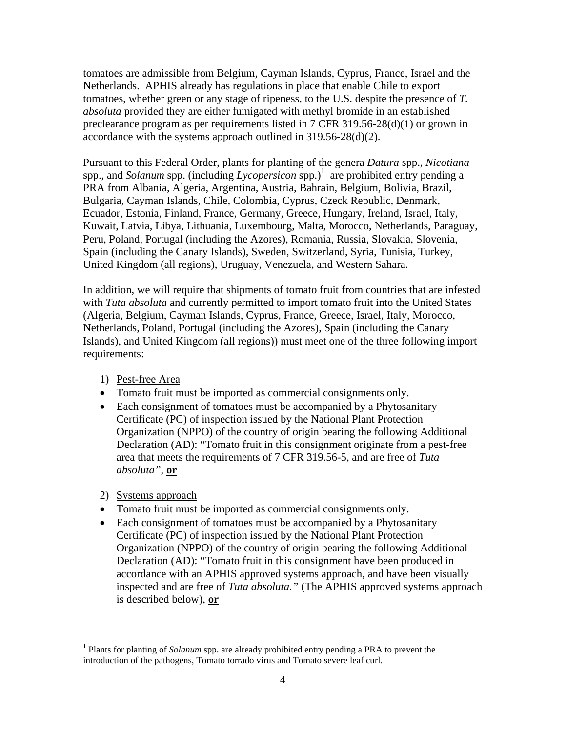tomatoes are admissible from Belgium, Cayman Islands, Cyprus, France, Israel and the Netherlands. APHIS already has regulations in place that enable Chile to export tomatoes, whether green or any stage of ripeness, to the U.S. despite the presence of *T. absoluta* provided they are either fumigated with methyl bromide in an established preclearance program as per requirements listed in 7 CFR 319.56-28(d)(1) or grown in accordance with the systems approach outlined in 319.56-28(d)(2).

Pursuant to this Federal Order, plants for planting of the genera *Datura* spp., *Nicotiana* spp., and *Solanum* spp. (including *Lycopersicon* spp.)<sup>1</sup> are prohibited entry pending a PRA from Albania, Algeria, Argentina, Austria, Bahrain, Belgium, Bolivia, Brazil, Bulgaria, Cayman Islands, Chile, Colombia, Cyprus, Czeck Republic, Denmark, Ecuador, Estonia, Finland, France, Germany, Greece, Hungary, Ireland, Israel, Italy, Kuwait, Latvia, Libya, Lithuania, Luxembourg, Malta, Morocco, Netherlands, Paraguay, Peru, Poland, Portugal (including the Azores), Romania, Russia, Slovakia, Slovenia, Spain (including the Canary Islands), Sweden, Switzerland, Syria, Tunisia, Turkey, United Kingdom (all regions), Uruguay, Venezuela, and Western Sahara.

In addition, we will require that shipments of tomato fruit from countries that are infested with *Tuta absoluta* and currently permitted to import tomato fruit into the United States (Algeria, Belgium, Cayman Islands, Cyprus, France, Greece, Israel, Italy, Morocco, Netherlands, Poland, Portugal (including the Azores), Spain (including the Canary Islands), and United Kingdom (all regions)) must meet one of the three following import requirements:

- 1) Pest-free Area
- Tomato fruit must be imported as commercial consignments only.
- Each consignment of tomatoes must be accompanied by a Phytosanitary Certificate (PC) of inspection issued by the National Plant Protection Organization (NPPO) of the country of origin bearing the following Additional Declaration (AD): "Tomato fruit in this consignment originate from a pest-free area that meets the requirements of 7 CFR 319.56-5, and are free of *Tuta absoluta"*, **or**
- 2) Systems approach

 $\overline{a}$ 

- Tomato fruit must be imported as commercial consignments only.
- Each consignment of tomatoes must be accompanied by a Phytosanitary Certificate (PC) of inspection issued by the National Plant Protection Organization (NPPO) of the country of origin bearing the following Additional Declaration (AD): "Tomato fruit in this consignment have been produced in accordance with an APHIS approved systems approach, and have been visually inspected and are free of *Tuta absoluta."* (The APHIS approved systems approach is described below), **or**

<sup>&</sup>lt;sup>1</sup> Plants for planting of *Solanum* spp. are already prohibited entry pending a PRA to prevent the introduction of the pathogens, Tomato torrado virus and Tomato severe leaf curl.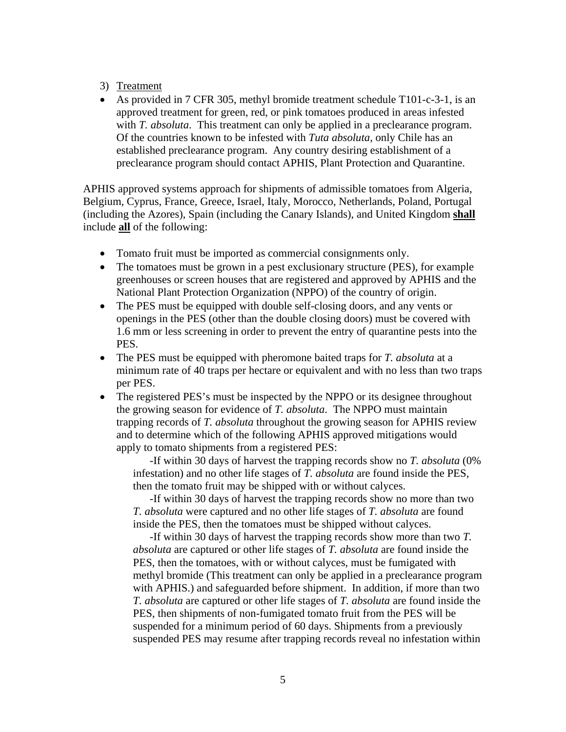## 3) Treatment

 As provided in 7 CFR 305, methyl bromide treatment schedule T101-c-3-1, is an approved treatment for green, red, or pink tomatoes produced in areas infested with *T. absoluta*. This treatment can only be applied in a preclearance program. Of the countries known to be infested with *Tuta absoluta*, only Chile has an established preclearance program. Any country desiring establishment of a preclearance program should contact APHIS, Plant Protection and Quarantine.

APHIS approved systems approach for shipments of admissible tomatoes from Algeria, Belgium, Cyprus, France, Greece, Israel, Italy, Morocco, Netherlands, Poland, Portugal (including the Azores), Spain (including the Canary Islands), and United Kingdom **shall** include **all** of the following:

- Tomato fruit must be imported as commercial consignments only.
- The tomatoes must be grown in a pest exclusionary structure (PES), for example greenhouses or screen houses that are registered and approved by APHIS and the National Plant Protection Organization (NPPO) of the country of origin.
- The PES must be equipped with double self-closing doors, and any vents or openings in the PES (other than the double closing doors) must be covered with 1.6 mm or less screening in order to prevent the entry of quarantine pests into the PES.
- The PES must be equipped with pheromone baited traps for *T. absoluta* at a minimum rate of 40 traps per hectare or equivalent and with no less than two traps per PES.
- The registered PES's must be inspected by the NPPO or its designee throughout the growing season for evidence of *T. absoluta*. The NPPO must maintain trapping records of *T. absoluta* throughout the growing season for APHIS review and to determine which of the following APHIS approved mitigations would apply to tomato shipments from a registered PES:

-If within 30 days of harvest the trapping records show no *T. absoluta* (0% infestation) and no other life stages of *T. absoluta* are found inside the PES, then the tomato fruit may be shipped with or without calyces.

-If within 30 days of harvest the trapping records show no more than two *T. absoluta* were captured and no other life stages of *T. absoluta* are found inside the PES, then the tomatoes must be shipped without calyces.

-If within 30 days of harvest the trapping records show more than two *T. absoluta* are captured or other life stages of *T. absoluta* are found inside the PES, then the tomatoes, with or without calyces, must be fumigated with methyl bromide (This treatment can only be applied in a preclearance program with APHIS.) and safeguarded before shipment. In addition, if more than two *T. absoluta* are captured or other life stages of *T. absoluta* are found inside the PES, then shipments of non-fumigated tomato fruit from the PES will be suspended for a minimum period of 60 days. Shipments from a previously suspended PES may resume after trapping records reveal no infestation within